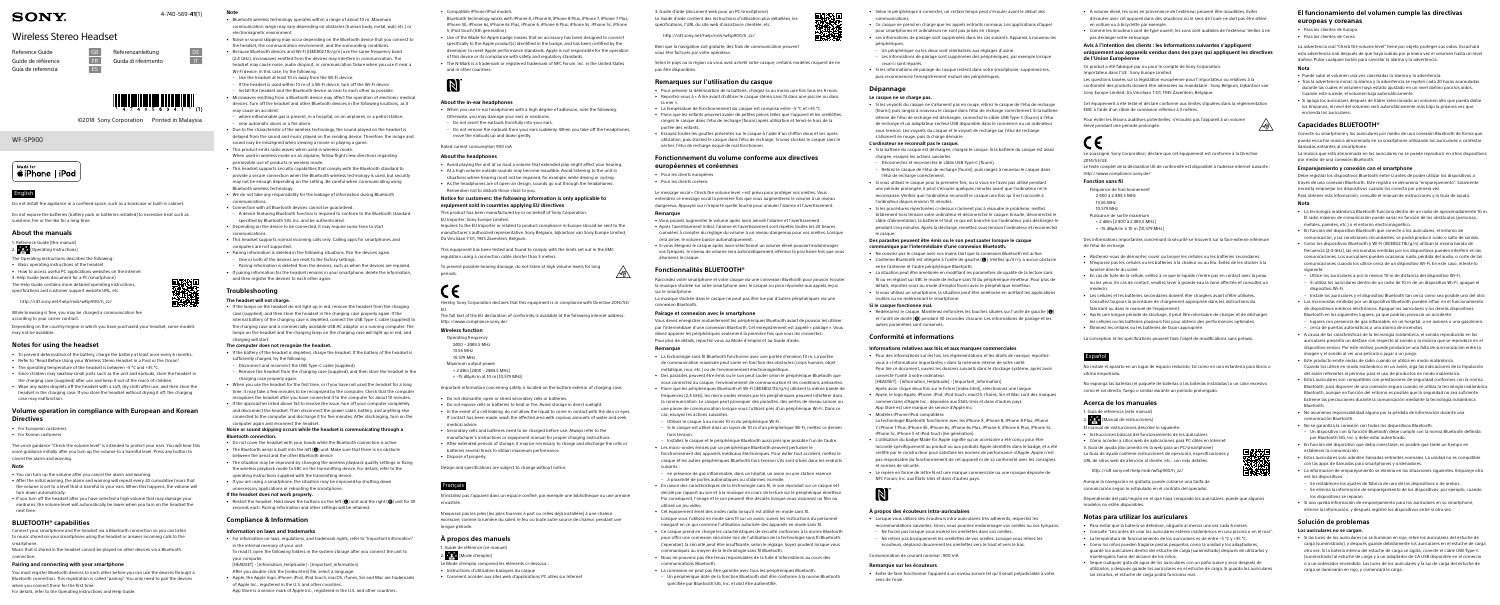WF-SP900



©2018 Sony Corporation Printed in Malaysia

## English

Do not install the appliance in a confined space, such as a bookcase or built-in cabinet.

Do not expose the batteries (battery pack or batteries installed) to excessive heat such as sunshine, fire or the like for a long time.

- $2.$   $2.27$  (Operating Instructions)
- The Operating Instructions describes the following:
- Basic operating instructions of the headset
- How to access useful PC applications websites on the internet 3. Help Guide (web document for a PC/smartphone)

## **About the manuals**

Reference Guide (this manual)

Depending on the country/region in which you have purchased your headset, some models may not be available.

The Help Guide contains more detailed operating instructions, specifications and customer support website URL, etc.

http://rd1.sony.net/help/mdr/wfsp900/h\_zz/

While browsing is free, you may be charged a communication fee

according to your carrier contract.

- For European customers
- For Korean customers

## **Notes for using the headset**

Connect your smartphone and the headset via a Bluetooth connection so you can listen to music stored on your smartphone using the headset or answer incoming calls to the smartphone

- To prevent deterioration of the battery, charge the battery at least once every 6 months.
- Refer to "Read Before Using your Wireless Stereo Headset in a Pool or the Ocean".
- The operating temperature of the headset is between –5 °C and +35 °C.
- Since children may swallow small parts such as the unit and earbuds, store the headset in the charging case (supplied) after use and keep it out of the reach of children.
- Wipe any water droplets off the headset with a soft, dry cloth after use, and then store the headset in the charging case. If you store the headset without drying it off, the charging case may malfunction.

You must register Bluetooth devices to each other before you can use the devices through a Bluetooth connection. This registration is called "pairing". You only need to pair the devices when you connect them for the first time.

## **Volume operation in compliance with European and Korean Directives**

The voice guidance "Check the volume level" is intended to protect your ears. You will hear this voice guidance initially after you turn up the volume to a harmful level. Press any button to cancel the alarm and warning.

#### **Note**

• You can turn up the volume after you cancel the alarm and warning.

- After the initial warning, the alarm and warning will repeat every 20 cumulative hours that the volume is set to a level that is harmful to your ears. When this happens, the volume will turn down automatically.
- If you turn off the headset after you have selected a high volume that may damage your eardrums, the volume level will automatically be lower when you turn on the headset the next time.

# **BLUETOOTH® capabilities**

Music that is stored in the headset cannot be played on other devices via a Bluetooth connection.

# **Pairing and connecting with your smartphone**

For details, refer to the Operating Instructions and Help Guide.

#### **Note**

• Restart the headset. Hold down the buttons on the left  $(\bigodot)$  unit and the right  $(\bigodot)$  unit for 30 seconds each. Pairing information and other settings will be retained.

- Bluetooth wireless technology operates within a range of about 10 m. Maximum communication range may vary depending on obstacles (human body, metal, wall, etc.) or electromagnetic environment
- Noise or sound skipping may occur depending on the Bluetooth device that you connect to the headset, the communication environment, and the surrounding conditions.
- Because Bluetooth devices and Wi-Fi (IEEE802.11b/g/n) use the same frequency band (2.4 GHz), microwaves emitted from the devices may interfere in communication. The headset may cause noise, audio dropout, or communication failure when you use it near a Wi-Fi device. In this case, try the following.
- Use the headset at least 10 m away from the Wi-Fi device.
- If the headset is used within 10 m of a Wi-Fi device, turn off the Wi-Fi device.
- Install the headset and the Bluetooth device as near to each other as possible.
- Microwaves emitting from a Bluetooth device may affect the operation of electronic medical devices. Turn off the headset and other Bluetooth devices in the following locations, as it
- may cause an accident: – where inflammable gas is present, in a hospital, on an airplanes, or a petrol station.
- near automatic doors or a fire alarm.
- Due to the characteristic of the wireless technology, the sound played on the headset is delayed from the sound and music played on the sending device. Therefore, the image and sound may be misaligned when viewing a movie or playing a game.
- This product emits radio waves when used in wireless mode. When used in wireless mode on an airplane, follow flight crew directions regarding permissible use of products in wireless mode.
- This headset supports security capabilities that comply with the Bluetooth standard to provide a secure connection when the Bluetooth wireless technology is used, but security may not be enough depending on the setting. Be careful when communicating using Bluetooth wireless technology.
- We do not take any responsibility for the leakage of information during Bluetooth communications.
- Connection with all Bluetooth devices cannot be guaranteed.
- A device featuring Bluetooth function is required to conform to the Bluetooth standard specified by Bluetooth SIG, Inc. and be authenticated.
- Depending on the device to be connected, it may require some time to start communications.
- This headset supports normal incoming calls only. Calling apps for smartphones and computers are not supported.
- Pairing information is deleted in the following situations. Pair the devices again. – One or both of the devices are reset to the factory settings.
- Pairing information is deleted from the devices, such as when the devices are repaired.
- If pairing information for the headset remains in your smartphone, delete the information, and then register the devices to each other again.
- Compatible iPhone/iPod model Bluetooth technology works with iPhone X, iPhone 8, iPhone 8 Plus, iPhone 7, iPhone 7 Plus,
- iPhone SE, iPhone 6s, iPhone 6s Plus, iPhone 6, iPhone 6 Plus, iPhone 5s, iPhone 5c, iPhone 5, iPod touch (6th generation).
- Use of the Made for Apple badge means that an accessory has been designed to connect specifically to the Apple product(s) identified in the badge, and has been certified by the developer to meet Apple performance standards. Apple is not responsible for the operation of this device or its compliance with safety and regulatory standards.
- The N-Mark is a trademark or registered trademark of NFC Forum, Inc. in the United States and in other countries.



## **Troubleshooting**

### **The headset will not charge.**

• In the event of a cell leaking, do not allow the liquid to come in contact with the skin or eyes. If contact has been made, wash the affected area with copious amounts of water and seek

• If the lamps on the headset do not light up in red, remove the headset from the charging case (supplied), and then store the headset in the charging case properly again. If the internal battery of the charging case is depleted, connect the USB Type-C cable (supplied) to the charging case and a commercially available USB AC adaptor or a running computer. The lamps on the headset and the charging lamp on the charging case will light up in red, and charging will start.

> **À propos des manuels** 1. Guide de référence (ce manuel) 2.  $\frac{1}{2}$  (Mode d'emploi)

## **The computer does not recognize the headset.**

- If the battery of the headset is depleted, charge the headset. If the battery of the headset is
- sufficiently charged, try the following.
- Disconnect and reconnect the USB Type-C cable (supplied).
- Remove the headset from the charging case (supplied), and then store the headset in the charging case properly again.
- When you use the headset for the first time, or if you have not used the headset for a long time, it may take a few minutes to be recognized by the computer. Check that the computer recognizes the headset after you have connected it to the computer for about 10 minutes.
- If the approaches listed above fail to resolve the issue, turn off your computer completely and disconnect the headset. Then disconnect the power cable, battery, and anything else connected to the computer and discharge it for five minutes. After discharging, turn on the computer again and reconnect the headset.

#### **Noise or sound skipping occurs while the headset is communicating through a Bluetooth connection.**

- Do not cover the headset with your hands while the Bluetooth connection is active. • The Bluetooth aerial is built into the left  $(\bullet)$  unit. Make sure that there is no obstacle
- between the aerial and the other Bluetooth device.
- The situation may be improved by changing the wireless playback quality settings or fixing the wireless playback mode to SBC on the transmitting device. For details, refer to the operating instructions supplied with the transmitting device.
- If you are using a smartphone, the situation may be improved by shutting down unnecessary applications or rebooting the smartphone.

#### **If the headset does not work properly.**

## **Compliance & Information**

#### **Information on laws and trademarks**

- For information on laws, regulations, and trademark rights, refer to "Important Information" in the internal memory of your unit.
- To read it, open the following folders in the system storage after you connect the unit to your computer.
- [HEADSET] [Information\_HelpGuide] [Important\_Information]
- After you double-click the [index.html] file, select a language. • Apple, the Apple logo, iPhone, iPod, iPod touch, macOS, iTunes, Siri and Mac are trademarks

of Apple Inc., registered in the U.S. and other countries.

App Store is a service mark of Apple Inc., registered in the U.S. and other countries.

4-740-569-**41**(1)

# **SONY**

# Wireless Stereo Headset

Guía de referencia en ES

Reference Guide GB Referenzanleitung DE Guide de référence **FR** Guida di riferimento

### **About the in-ear headphones**

- When you use in-ear headphones with a high degree of adhesion, note the following. Otherwise, you may damage your ears or eardrums.
- Do not insert the earbuds forcefully into your ears.
- Do not remove the earbuds from your ears suddenly. When you take off the headphones, move the earbuds up and down gently.

Rated current consumption 900 mA

#### **About the headphones**

• Avoid playing the unit at so loud a volume that extended play might affect your hearing. • At a high volume outside sounds may become inaudible. Avoid listening to the unit in situations where hearing must not be impaired, for example, while driving or cycling.

• As the headphones are of open-air design, sounds go out through the headphones.

Remember not to disturb those close to you.

**Notice for customers: the following information is only applicable to** 

**equipment sold in countries applying EU directives** This product has been manufactured by or on behalf of Sony Corporation.

EU Importer: Sony Europe Limited.

Inquiries to the EU Importer or related to product compliance in Europe should be sent to the manufacturer's authorized representative, Sony Belgium, bijkantoor van Sony Europe Limited,

> • Redémarrez le casque. Maintenez enfoncées les touches situées sur l'unité de gauche  $\langle \bigcirc \rangle$ et l'unité de droite ( $\bigcirc$ ) pendant 30 secondes chacune. Les informations de pairage et les autres paramètres sont conservés.

Da Vincilaan 7-D1, 1935 Zaventem, Belgium.

This equipment has been tested and found to comply with the limits set out in the EMC

regulation using a connection cable shorter than 3 meters.

To prevent possible hearing damage, do not listen at high volume levels for long

periods.

Hereby, Sony Corporation declares that this equipment is in compliance with Directive 2014/53/

EU.

The full text of the EU declaration of conformity is available at the following internet address:

http://www.compliance.sony.de/

**Wireless function** Operating frequency 2400 – 2483.5 MHz 13.56 MHz 10.579 MHz Maximum output power < 2 dBm [2400 - 2483.5 MHz] < –15 dBμA/m at 10 m [10.579 MHz]

Important information concerning safety is located on the bottom exterior of charging case.

• Do not dismantle, open or shred secondary cells or batteries.

• Do not expose cells or batteries to heat or fire. Avoid storage in direct sunlight.

medical advice.

• Secondary cells and batteries need to be charged before use. Always refer to the manufacturer's instructions or equipment manual for proper charging instructions. • After extended periods of storage, it may be necessary to charge and discharge the cells or

batteries several times to obtain maximum performance.

• Dispose of properly.

Design and specifications are subject to change without notice.

Français

N'installez pas l'appareil dans un espace confiné, par exemple une bibliothèque ou une armoire

Pour éviter les lésions auditives potentielles, n'écoutez pas l'appareil à un volume élevé pendant une période prolongée.  $\sqrt{2^n}$ 

encastrée.

N'exposez pas les piles (les piles fournies à part ou celles déjà installées) à une chaleur excessive, comme la lumière du soleil, le feu ou toute autre source de chaleur, pendant une

- Fréquence de fonctionnement
- 2 400 à 2 483,5 MHz
- 13,56 MHz 10,579 MHz

longue période.

- Le Mode d'emploi comprend les éléments ci-dessous : • Instructions d'utilisation basiques du casque
	- Comment accéder aux sites web d'applications PC utiles sur Internet

3. Guide d'aide (document web pour un PC/smartphone) Le Guide d'aide contient des instructions d'utilisation plus détaillées, les spécifications, l'URL du site web d'assistance clientèle, etc.

http://rd1.sony.net/help/mdr/wfsp900/h\_zz/

Bien que la navigation soit gratuite, des frais de communication peuvent vous être facturés par votre opérateur.

Selon le pays ou la région où vous avez acheté votre casque, certains modèles risquent de ne pas être disponibles.

#### **Remarques sur l'utilisation du casque**

- Pour prévenir la détérioration de la batterie, chargez-la au moins une fois tous les 6 mois. • Reportez-vous à « À lire avant d'utiliser le casque stéréo sans fil dans une piscine ou dans la mer ».
- La température de fonctionnement du casque est comprise entre –5 °C et +35 °C.
- Parce que les enfants peuvent avaler de petites pièces telles que l'appareil et les oreillettes, rangez le casque dans l'étui de recharge (fourni) après utilisation et tenez-le hors de la portée des enfants.
- Essuyez toutes les gouttes présentes sur le casque à l'aide d'un chiffon doux et sec après utilisation, puis stockez le casque dans l'étui de recharge. Si vous stockez le casque sans le sécher, l'étui de recharge risque de mal fonctionner.

#### **Fonctionnement du volume conforme aux directives européennes et coréennes**

• Pour les clients européens • Pour les clients coréens

Le message vocal « Check the volume level » est prévu pour protéger vos oreilles. Vous entendrez ce message vocal la première fois que vous augmenterez le volume à un niveau

dangereux. Appuyez sur n'importe quelle touche pour annuler l'alarme et l'avertissement.

#### **Remarque**

∠⊛⊘

- Vous pouvez augmenter le volume après avoir annulé l'alarme et l'avertissement.
- Après l'avertissement initial, l'alarme et l'avertissement sont répétés toutes les 20 heures cumulées à compter du réglage du volume à un niveau dangereux pour vos oreilles. Lorsque cela arrive, le volume baisse automatiquement.
- Si vous éteignez le casque après avoir sélectionné un volume élevé pouvant endommager vos tympans, le niveau de volume sera automatiquement inférieur la prochaine fois que vous allumerez le casque.

#### **Fonctionnalités BLUETOOTH®**

Raccordez votre smartphone et votre casque via une connexion Bluetooth pour pouvoir écouter la musique stockée sur votre smartphone avec le casque ou pour répondre aux appels reçus sur le smartphone.

La musique stockée dans le casque ne peut pas être lue par d'autres périphériques via une connexion Bluetooth.

#### **Pairage et connexion avec le smartphone**

Vous devez enregistrer mutuellement les périphériques Bluetooth avant de pouvoir les utiliser par l'intermédiaire d'une connexion Bluetooth. Cet enregistrement est appelé « pairage ». Vous devez apparier les périphériques seulement la première fois que vous les connectez. Pour plus de détails, reportez-vous au Mode d'emploi et au Guide d'aide.

#### **Remarque**

- La technologie sans fil Bluetooth fonctionne avec une portée d'environ 10 m. La portée de communication maximale peut varier en fonction des obstacles (corps humain, objet métallique, mur, etc.) ou de l'environnement électromagnétique.
- Des parasites peuvent être émis ou le son peut sauter selon le périphérique Bluetooth que vous connectez au casque, l'environnement de communication et les conditions ambiantes. • Parce que les périphériques Bluetooth et Wi-Fi (IEEE802.11b/g/n) utilisent la même bande de
- fréquences (2,4 GHz), les micro-ondes émises par les périphériques peuvent interférer dans la communication. Le casque peut provoquer des parasites, des pertes de niveau sonore ou une panne de communication lorsque vous l'utilisez près d'un périphérique Wi-Fi. Dans ce cas, essayez les actions suivantes.
- Utilisez le casque à au moins 10 m du périphérique Wi-Fi.
- Si le casque est utilisé dans un rayon de 10 m d'un périphérique Wi-Fi, mettez ce dernier hors tensio
- Installez le casque et le périphérique Bluetooth aussi près que possible l'un de l'autre. • Les micro-ondes émises par un périphérique Bluetooth peuvent perturber le

fonctionnement des appareils médicaux électroniques. Pour éviter tout accident, mettez le casque et les autres périphériques Bluetooth hors tension s'ils sont situés dans les endroits suivants :

- en présence de gaz inflammable, dans un hôpital, un avion ou une station essence – à proximité de portes automatiques ou d'alarmes incendie.
- En raison des caractéristiques de la technologie sans fil, le son reproduit sur ce casque est décalé par rapport au son et à la musique en cours de lecture sur le périphérique émetteur. Par conséquent, l'image et le son peuvent être décalés lorsque vous visionnez un film ou utilisez un jeu vidéo.
- Cet équipement émet des ondes radio lorsqu'il est utilisé en mode sans fil. Lorsque vous l'utilisez en mode sans fil sur un avion, suivez les instructions du personnel navigant en ce qui concerne l'utilisation autorisée des appareils en mode sans fil.
- Ce casque prend en charge les caractéristiques de sécurité conformes à la norme Bluetooth pour offrir une connexion sécurisée lors de l'utilisation de la technologie sans fil Bluetooth. Cependant, la sécurité peut être insuffisante, selon le réglage. Soyez prudent lorsque vous communiquez au moyen de la technologie sans fil Bluetooth.
- Nous ne pouvons pas être tenus responsables de la fuite d'informations au cours des communications Bluetooth.
- La connexion ne peut pas être garantie avec tous les périphériques Bluetooth. – Un périphérique doté de la fonction Bluetooth doit être conforme à la norme Bluetooth spécifiée par Bluetooth SIG, Inc. et doit être authentifié.
- Selon le périphérique à connecter, un certain temps peut s'écouler avant le début des communications.
- Ce casque ne prend en charge que les appels entrants normaux. Les applications d'appel pour smartphones et ordinateurs ne sont pas prises en charge.
- Les informations de pairage sont supprimées dans les cas suivants. Appariez à nouveau les périphériques.
- Un périphérique ou les deux sont réinitialisés aux réglages d'usine.
- Les informations de pairage sont supprimées des périphériques, par exemple lorsque ceux-ci sont réparés.
- Si les informations de pairage du casque restent dans votre smartphone, supprimez-les, puis recommencez l'enregistrement mutuel des périphériques.

## **Dépannage**

#### **Le casque ne se charge pas.**

• Si les voyants du casque ne s'allument pas en rouge, retirez le casque de l'étui de recharge (fourni), puis rangez à nouveau le casque dans l'étui de recharge correctement. Si la batterie interne de l'étui de recharge est déchargée, connectez le câble USB Type-C (fourni) à l'étui de recharge et un adaptateur secteur USB disponible dans le commerce ou un ordinateur sous tension. Les voyants du casque et le voyant de recharge sur l'étui de recharge s'allument en rouge, puis la charge démarre.

#### **L'ordinateur ne reconnaît pas le casque.**

- Si la batterie du casque est déchargée, chargez le casque. Si la batterie du casque est assez chargée, essayez les actions suivantes.
- Déconnectez et reconnectez le câble USB Type-C (fourni).
- Retirez le casque de l'étui de recharge (fourni), puis rangez à nouveau le casque dans l'étui de recharge correctement.
- Si vous utilisez le casque pour la première fois, ou si vous ne l'avez pas utilisé pendant une période prolongée, il peut s'écouler quelques minutes avant que l'ordinateur ne le reconnaisse. Vérifiez que l'ordinateur reconnaît le casque une fois qu'il est raccordé à l'ordinateur depuis environ 10 minutes.
- Si les procédures répertoriées ci-dessus n'arrivent pas à résoudre le problème, mettez totalement hors tension votre ordinateur et déconnectez le casque. Ensuite, déconnectez le câble d'alimentation, la batterie et tout ce qui est branché sur l'ordinateur, puis déchargez-le pendant cinq minutes. Après la décharge, remettez sous tension l'ordinateur et reconnectez le casque.

#### **Des parasites peuvent être émis ou le son peut sauter lorsque le casque communique par l'intermédiaire d'une connexion Bluetooth.**

- Ne couvrez pas le casque avec vos mains tant que la connexion Bluetooth est active.
- L'antenne Bluetooth est intégrée à l'unité de gauche  $(\bullet)$ . Vérifiez qu'il n'y a aucun obstacle entre l'antenne et l'autre périphérique Bluetooth.
- La situation peut être améliorée en modifiant les paramètres de qualité de la lecture sans fil ou en réglant sur SBC le mode de lecture sans fil du périphérique émetteur. Pour plus de détails, reportez-vous au mode d'emploi fourni avec le périphérique émetteur.
- Si vous utilisez un smartphone, la situation peut être améliorée en arrêtant les applications inutiles ou en redémarrant le smartphone.

#### **Si le casque fonctionne mal.**

#### **Conformité et informations**

#### **Informations relatives aux lois et aux marques commerciales**

• Pour des informations sur les lois, les réglementations et les droits de marque, reportezvous à « Informations importantes » dans la mémoire interne de votre unité. Pour lire ce document, ouvrez les dossiers suivants dans le stockage système, après avoir connecté l'unité à votre ordinateur.

[HEADSET] - [Information\_HelpGuide] - [Important\_Information] Après avoir cliqué deux fois sur le fichier [index.html], sélectionnez une langue.

- Apple, le logo Apple, iPhone, iPod, iPod touch, macOS, iTunes, Siri et Mac sont des marques commerciales d'Apple Inc., déposées aux États-Unis et dans d'autres pays.
- App Store est une marque de service d'Apple Inc. • Modèles iPhone/iPod compatible
- La technologie Bluetooth fonctionne avec les iPhone X, iPhone 8, iPhone 8 Plus, iPhone 7, iPhone 7 Plus, iPhone SE, iPhone 6s, iPhone 6s Plus, iPhone 6, iPhone 6 Plus, iPhone 5s, iPhone 5c, iPhone 5 et iPod touch (6e génération).
- L'utilisation du badge Made for Apple signifie qu'un accessoire a été conçu pour être raccordé spécifiquement au produit ou aux produits Apple identifiés dans le badge, et a été certifié par le constructeur pour satisfaire les normes de performance d'Apple. Apple n'est pas responsable du fonctionnement de cet appareil ni de sa conformité avec les consignes et normes de sécurité.
- Le repère en forme de lettre N est une marque commerciale ou une marque déposée de NFC Forum, Inc. aux États-Unis et dans d'autres pays.

#### **À propos des écouteurs intra-auriculaires**

- Lorsque vous utilisez des écouteurs intra-auriculaires très adhérents, respectez les recommandations suivantes. Sinon, vous pourriez endommager vos oreilles ou vos tympans.
- Ne forcez pas lorsque vous insérez les oreillettes dans vos oreilles.
- Ne retirez pas brusquement les oreillettes de vos oreilles. Lorsque vous retirez les écouteurs, déplacez doucement les oreillettes vers le haut et vers le bas.

Consommation de courant nominal : 900 mA

#### **Remarque sur les écouteurs**

• Eviter de faire fonctionner l'appareil à un niveau sonore tel qu'il serait préjudiciable à votre sens de l'ouïe.

- A volume élevé, les sons en provenance de l'extérieur peuvent être inaudibles. Eviter d'écouter avec cet appareil dans des situations où le sens de l'ouïe ne doit pas être altéré, en voiture ou à bicyclette par exemple.
- Comme les écouteurs sont de type ouvert, les sons sont audibles de l'extérieur. Veillez à ne pas déranger votre entourage.

#### **Avis à l'intention des clients : les informations suivantes s'appliquent uniquement aux appareils vendus dans des pays qui appliquent les directives de l'Union Européenne**

Ce produit a été fabriqué par ou pour le compte de Sony Corporation.

Importateur dans l'UE : Sony Europe Limited.

Les questions basées sur la législation européenne pour l'importateur ou relatives à la conformité des produits doivent être adressées au mandataire : Sony Belgium, bijkantoor van Sony Europe Limited, Da Vincilaan 7-D1, 1935 Zaventem, Belgique.

Cet équipement a été testé et déclaré conforme aux limites stipulées dans la règlementation EMC à l'aide d'un câble de connexion inférieur à 3 mètres.

Le soussigné, Sony Corporation, déclare que cet équipement est conforme à la Directive 2014/53/UE.

Le texte complet de la déclaration UE de conformité est disponible à l'adresse internet suivante : http://www.compliance.sony.de/

#### **Fonction sans fil**

- Puissance de sortie maximum
- < 2 dBm [2 400 à 2 483,5 MHz]
- < –15 dBμA/m à 10 m [10,579 MHz]

Des informations importantes concernant la sécurité se trouvent sur la face externe inférieure de l'étui de recharge.

- Abstenez-vous de démonter, ouvrir ou broyer les cellules ou les batteries secondaires.
- N'exposez pas les cellules ou les batteries à la chaleur ou au feu. Évitez de les stocker à la
- lumière directe du soleil. • En cas de fuite de la cellule, veillez à ce que le liquide n'entre pas en contact avec la peau ou les yeux. En cas de contact, veuillez laver à grande eau la zone affectée et consultez un médecin.
- Les cellules et les batteries secondaires doivent être chargées avant d'être utilisées. Consultez toujours la procédure de chargement appropriée dans les instructions du fabricant ou dans le manuel de l'équipement.
- Après une longue période de stockage, il peut être nécessaire de charger et de décharger les cellules ou les batteries plusieurs fois pour obtenir des performances optimales. • Éliminez les cellules ou les batteries de façon appropriée.

La conception et les spécifications peuvent faire l'objet de modifications sans préavis.

Español

No instale el aparato en un lugar de espacio reducido, tal como en una estantería para libros o

vitrina empotrada.

No exponga las baterías (el paquete de baterías o las baterías instaladas) a un calor excesivo

como el sol directo, fuego o similar durante un período prolongado.

**Acerca de los manuales** 1. Guía de referencia (este manual) 2.  $\frac{1}{2}$  (Manual de instrucciones) El manual de instrucciones describe lo siguiente:

• Instrucciones básicas del funcionamiento de los auriculares • Cómo acceder a sitios web de aplicaciones para PC útiles en Internet 3. Guía de ayuda (documento en la web para un PC/smartphone) La Guía de ayuda contiene instrucciones de operación, especificaciones y URL de sitios web de atención al cliente, etc., con más detalles. http://rd1.sony.net/help/mdr/wfsp900/h\_zz/ Aunque la navegación es gratuita, puede cobrarse una tarifa de comunicación según lo estipulado en el contrato del operador.

Dependiendo del país/región en el que haya comprado los auriculares, puede que algunos

modelos no estén disponibles.

**Notas para utilizar los auriculares**

• Para evitar que la batería se deteriore, cárguela al menos una vez cada 6 meses. • Consulte "Lea antes de usar los auriculares estéreo inalámbricos en una piscina o en el mar". • La temperatura de funcionamiento de los auriculares es de entre –5 °C y +35 °C. • Como los niños pueden tragarse piezas pequeñas como la unidad y los adaptadores, guarde los auriculares dentro del estuche de carga (suministrado) después de utilizarlos y

manténgalos fuera del alcance de los niños.

• Seque cualquier gota de agua de los auriculares con un paño suave y seco después de utilizarlos, y después guarde los auriculares en el estuche de carga. Si guarda los auriculares

sin secarlos, el estuche de carga podrá funcionar mal.

## **El funcionamiento del volumen cumple las directivas europeas y coreanas**

- Para los clientes de Europa
- Para los clientes de Corea

La advertencia oral "Check the volume level" tiene por objeto proteger sus oídos. Escuchará esta advertencia oral después de que haya subido por primera vez el volumen hasta un nivel dañino. Pulse cualquier botón para cancelar la alarma y la advertencia.

#### **Nota**

- Puede subir el volumen una vez canceladas la alarma y la advertencia.
- Tras la advertencia inicial, la alarma y la advertencia se repiten cada 20 horas acumuladas durante las cuales el volumen haya estado ajustado en un nivel dañino para los oídos. Cuando esto sucede, el volumen baja automáticamente.
- Si apaga los auriculares después de haber seleccionado un volumen alto que pueda dañar los tímpanos, el nivel del volumen será automáticamente más bajo la próxima vez que encienda los auriculares.

## **Capacidades BLUETOOTH®**

Conecte su smartphone y los auriculares por medio de una conexión Bluetooth de forma que pueda escuchar música almacenada en su smartphone utilizando los auriculares o contestar llamadas entrantes al smartphone.

La música que está almacenada en los auriculares no se puede reproducir en otros dispositivos por medio de una conexión Bluetooth.

#### **Emparejamiento y conexión con el smartphone**

Debe registrar los dispositivos Bluetooth entre sí antes de poder utilizar los dispositivos a través de una conexión Bluetooth. Este registro se denomina "emparejamiento". Solamente necesita emparejar los dispositivos cuando los conecta por primera vez.

Para obtener más información, consulte el manual de instrucciones y la Guía de ayuda.

#### **Nota**

- La tecnología inalámbrica Bluetooth funciona dentro de un radio de aproximadamente 10 m. El radio máximo de comunicación puede variar en función de los obstáculos (personas, metales, paredes, etc.) o el entorno electromagnético.
- En función del dispositivo Bluetooth que conecte a los auriculares, el entorno de
- comunicación, y las condiciones circundantes, se podrá producir ruido o salto de sonido. • Como los dispositivos Bluetooth y Wi-Fi (IEEE802.11b/g/n) utilizan la misma banda de frecuencia (2,4 GHz), las microondas emitidas por los dispositivos pueden interferir en las comunicaciones. Los auriculares pueden ocasionar ruido, pérdida del audio, o corte de las comunicaciones cuando los utilice cerca de un dispositivo Wi-Fi. En este caso, intente lo siguiente.
- Utilice los auriculares a por lo menos 10 m de distancia del dispositivo Wi-Fi. – Si utiliza los auriculares dentro de un radio de 10 m de un dispositivo Wi-Fi, apague el dispositivo Wi-Fi.
- Instale los auriculares y el dispositivo Bluetooth tan cerca como sea posible uno del otro.
- Las microondas emitidas por un dispositivo Bluetooth pueden influir en el funcionamiento de dispositivos médicos electrónicos. Apague los auriculares y los demás dispositivos Bluetooth en los siguientes lugares, ya que podrían provocar un accidente:
- lugares con presencia de gas inflamable, en un hospital, o en aviones o una gasolinera. – cerca de puertas automáticas o una alarma de incendios.
- A causa de las características de la tecnología inalámbrica, el sonido reproducido en los auriculares presenta un desfase con respecto al sonido y la música que se reproduce en el dispositivo emisor. Por este motivo, puede producirse una falta de sincronización entre la imagen y el sonido al ver una película o jugar a un juego.
- Este producto emite ondas de radio cuando se utiliza en modo inalámbrico. Cuando los utilice en modo inalámbrico en un avión, siga las indicaciones de la tripulación del avión referentes al permiso para el uso de productos en modo inalámbrico.
- Estos auriculares son compatibles con prestaciones de seguridad conformes con la norma Bluetooth, para disponer de una conexión segura cuando se utiliza la tecnología inalámbrica Bluetooth, aunque en función del entorno es posible que la seguridad no sea suficiente. Extreme las precauciones durante la comunicación mediante la tecnología inalámbrica Bluetooth.
- No asumimos responsabilidad alguna por la pérdida de información durante una comunicación Bluetooth.
- No se garantiza la conexión con todos los dispositivos Bluetooth.
- Un dispositivo con la función Bluetooth debe cumplir con la norma Bluetooth definida por Bluetooth SIG, Inc. y debe estar autenticado.
- En función del dispositivo que deba conectarse, es posible que tarde un tiempo en establecer la comunicación.
- Estos auriculares solo admiten llamadas entrantes normales. La unidad no es compatible con las apps de llamadas para smartphones y ordenadores.
- La información de emparejamiento se elimina en las situaciones siguientes. Empareje otra vez los dispositivos.
- Se restablecen los ajustes de fábrica de uno de los dispositivos o de ambos. – Se elimina la información de emparejamiento de los dispositivos, por ejemplo, cuando los dispositivos se reparan.
- Si aún queda información de emparejamiento para los auriculares en su smartphone, elimine la información, y después registre los dispositivos entre sí otra vez.

## **Solución de problemas**

#### **Los auriculares no se cargan.**

• Si las luces de los auriculares no se iluminan en rojo, retire los auriculares del estuche de carga (suministrado), y después guarde debidamente los auriculares en el estuche de carga otra vez. Si la batería interna del estuche de carga se agota, conecte el cable USB Type-C (suministrado) al estuche de carga y a un adaptador de CA USB disponible en el comercio o a un ordenador encendido. Las luces de los auriculares y la luz de carga del estuche de carga se iluminarán en rojo, y comenzará la carga.